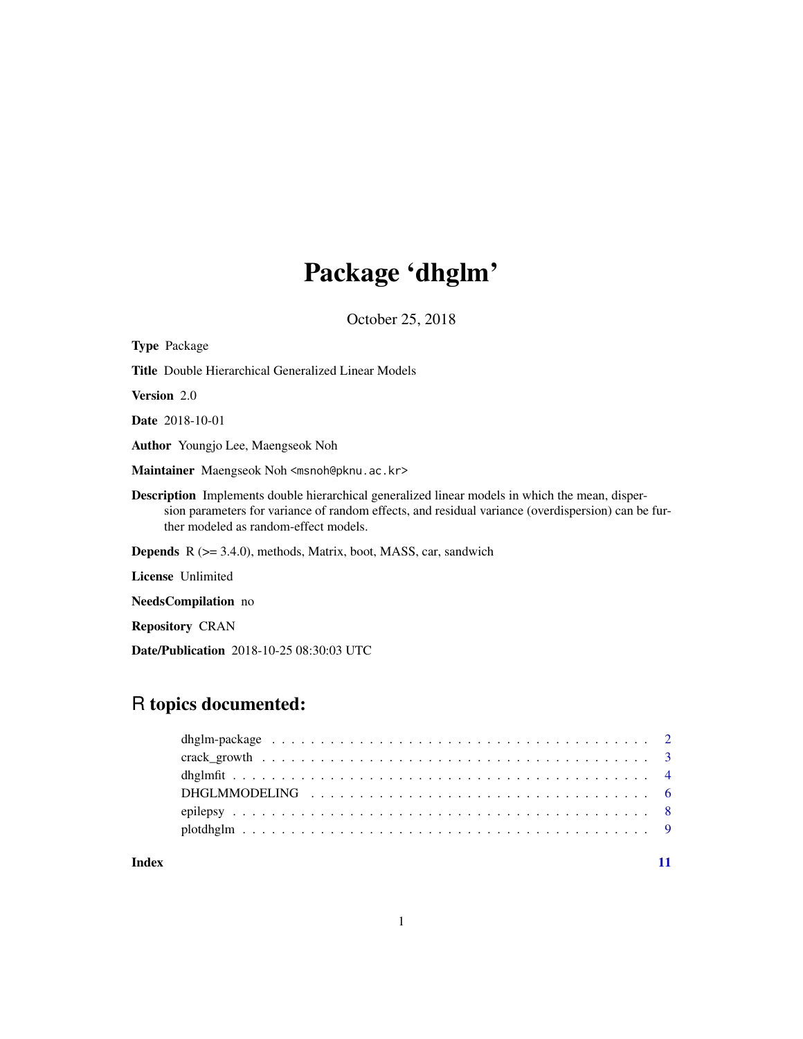# Package 'dhglm'

October 25, 2018

| <b>Type Package</b>                                                                                                                                                                                                                                   |
|-------------------------------------------------------------------------------------------------------------------------------------------------------------------------------------------------------------------------------------------------------|
| <b>Title</b> Double Hierarchical Generalized Linear Models                                                                                                                                                                                            |
| <b>Version</b> 2.0                                                                                                                                                                                                                                    |
| <b>Date</b> 2018-10-01                                                                                                                                                                                                                                |
| <b>Author</b> Youngjo Lee, Maengseok Noh                                                                                                                                                                                                              |
| Maintainer Maengseok Noh <msnoh@pknu.ac.kr></msnoh@pknu.ac.kr>                                                                                                                                                                                        |
| <b>Description</b> Implements double hierarchical generalized linear models in which the mean, disper-<br>sion parameters for variance of random effects, and residual variance (overdispersion) can be fur-<br>ther modeled as random-effect models. |
| <b>Depends</b> $R$ ( $>= 3.4.0$ ), methods, Matrix, boot, MASS, car, sandwich                                                                                                                                                                         |
| <b>License</b> Unlimited                                                                                                                                                                                                                              |
| <b>NeedsCompilation</b> no                                                                                                                                                                                                                            |

Repository CRAN

Date/Publication 2018-10-25 08:30:03 UTC

# R topics documented:

#### **Index** [11](#page-10-0)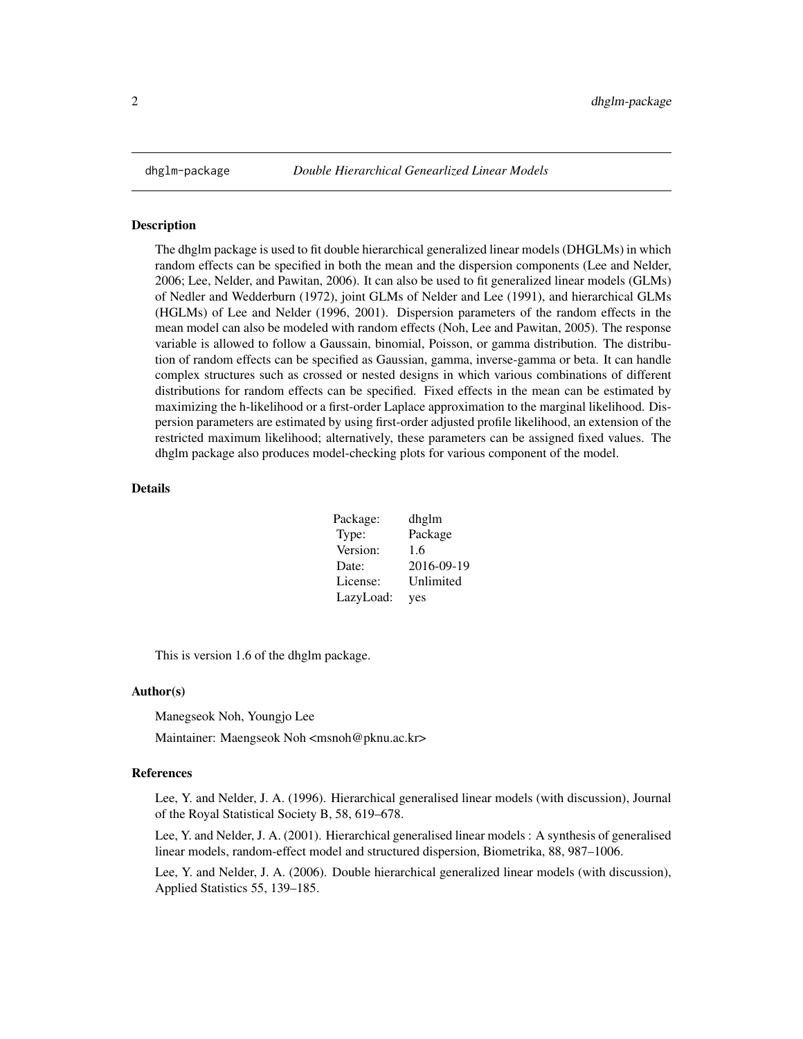<span id="page-1-0"></span>

#### **Description**

The dhglm package is used to fit double hierarchical generalized linear models (DHGLMs) in which random effects can be specified in both the mean and the dispersion components (Lee and Nelder, 2006; Lee, Nelder, and Pawitan, 2006). It can also be used to fit generalized linear models (GLMs) of Nedler and Wedderburn (1972), joint GLMs of Nelder and Lee (1991), and hierarchical GLMs (HGLMs) of Lee and Nelder (1996, 2001). Dispersion parameters of the random effects in the mean model can also be modeled with random effects (Noh, Lee and Pawitan, 2005). The response variable is allowed to follow a Gaussain, binomial, Poisson, or gamma distribution. The distribution of random effects can be specified as Gaussian, gamma, inverse-gamma or beta. It can handle complex structures such as crossed or nested designs in which various combinations of different distributions for random effects can be specified. Fixed effects in the mean can be estimated by maximizing the h-likelihood or a first-order Laplace approximation to the marginal likelihood. Dispersion parameters are estimated by using first-order adjusted profile likelihood, an extension of the restricted maximum likelihood; alternatively, these parameters can be assigned fixed values. The dhglm package also produces model-checking plots for various component of the model.

#### Details

| Package:  | dhglm      |
|-----------|------------|
| Type:     | Package    |
| Version:  | 1.6        |
| Date:     | 2016-09-19 |
| License:  | Unlimited  |
| LazyLoad: | yes        |

This is version 1.6 of the dhglm package.

#### Author(s)

Manegseok Noh, Youngjo Lee

Maintainer: Maengseok Noh <msnoh@pknu.ac.kr>

#### References

Lee, Y. and Nelder, J. A. (1996). Hierarchical generalised linear models (with discussion), Journal of the Royal Statistical Society B, 58, 619–678.

Lee, Y. and Nelder, J. A. (2001). Hierarchical generalised linear models : A synthesis of generalised linear models, random-effect model and structured dispersion, Biometrika, 88, 987–1006.

Lee, Y. and Nelder, J. A. (2006). Double hierarchical generalized linear models (with discussion), Applied Statistics 55, 139–185.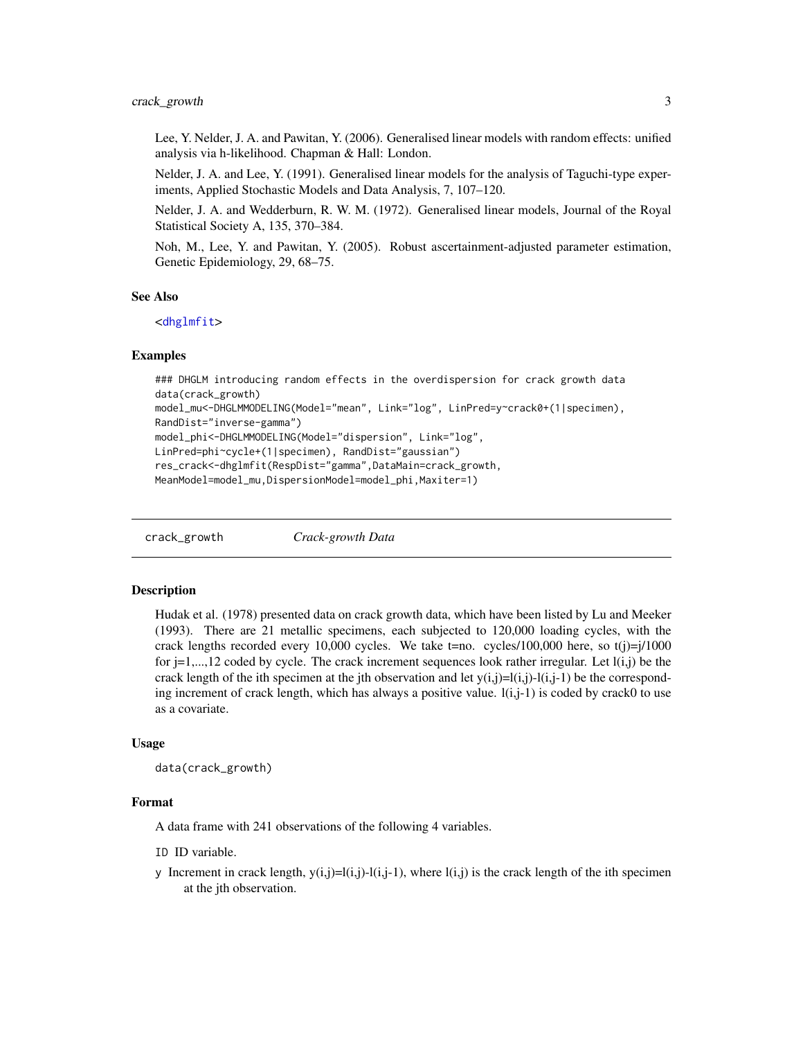<span id="page-2-0"></span>Lee, Y. Nelder, J. A. and Pawitan, Y. (2006). Generalised linear models with random effects: unified analysis via h-likelihood. Chapman & Hall: London.

Nelder, J. A. and Lee, Y. (1991). Generalised linear models for the analysis of Taguchi-type experiments, Applied Stochastic Models and Data Analysis, 7, 107–120.

Nelder, J. A. and Wedderburn, R. W. M. (1972). Generalised linear models, Journal of the Royal Statistical Society A, 135, 370–384.

Noh, M., Lee, Y. and Pawitan, Y. (2005). Robust ascertainment-adjusted parameter estimation, Genetic Epidemiology, 29, 68–75.

#### See Also

<[dhglmfit](#page-3-1)>

#### Examples

```
### DHGLM introducing random effects in the overdispersion for crack growth data
data(crack_growth)
model_mu<-DHGLMMODELING(Model="mean", Link="log", LinPred=y~crack0+(1|specimen),
RandDist="inverse-gamma")
model_phi<-DHGLMMODELING(Model="dispersion", Link="log",
LinPred=phi~cycle+(1|specimen), RandDist="gaussian")
res_crack<-dhglmfit(RespDist="gamma",DataMain=crack_growth,
```
MeanModel=model\_mu,DispersionModel=model\_phi,Maxiter=1)

crack\_growth *Crack-growth Data*

#### Description

Hudak et al. (1978) presented data on crack growth data, which have been listed by Lu and Meeker (1993). There are 21 metallic specimens, each subjected to 120,000 loading cycles, with the crack lengths recorded every 10,000 cycles. We take t=no. cycles/100,000 here, so  $t(j)=j/1000$ for  $j=1,\ldots,12$  coded by cycle. The crack increment sequences look rather irregular. Let  $l(i,j)$  be the crack length of the ith specimen at the jth observation and let  $y(i,j)=l(i,j)-l(i,j-1)$  be the corresponding increment of crack length, which has always a positive value.  $l(i,j-1)$  is coded by crack0 to use as a covariate.

#### Usage

```
data(crack_growth)
```
#### Format

A data frame with 241 observations of the following 4 variables.

ID ID variable.

y Increment in crack length,  $y(i,j)=l(i,j)-l(i,j-1)$ , where  $l(i,j)$  is the crack length of the ith specimen at the jth observation.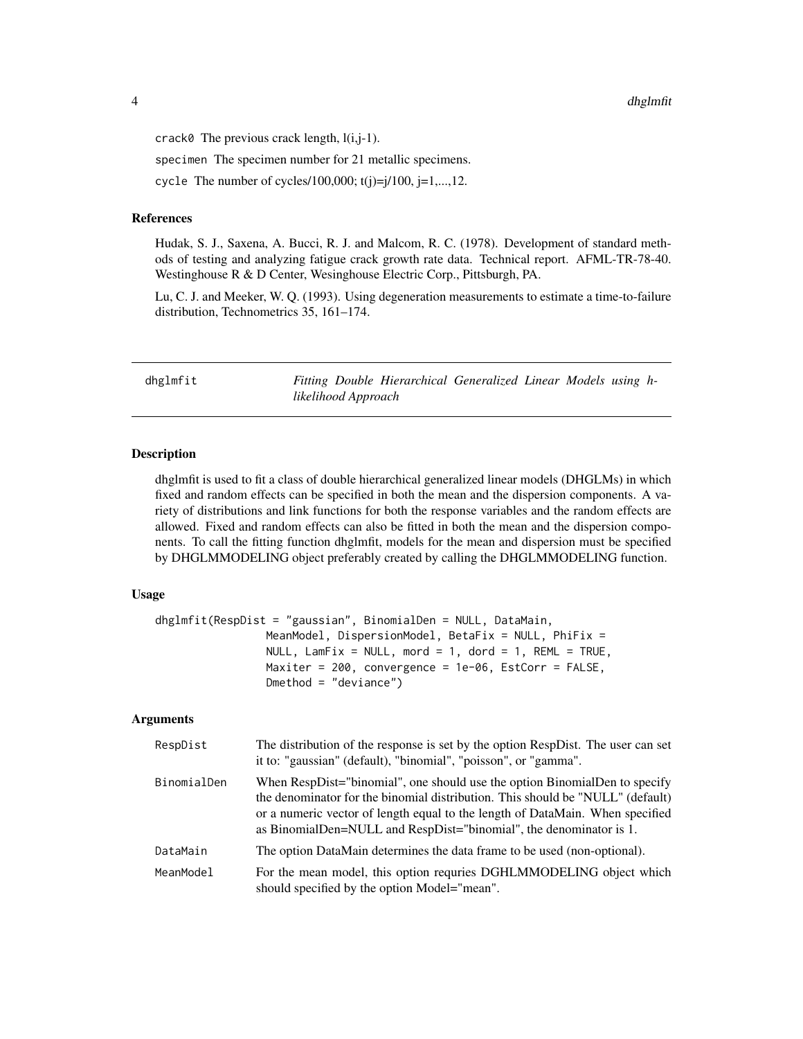<span id="page-3-0"></span>dhglmfit and the control of the control of the control of the control of the control of the control of the control of the control of the control of the control of the control of the control of the control of the control of

crack $\theta$  The previous crack length,  $l(i,j-1)$ .

specimen The specimen number for 21 metallic specimens.

cycle The number of cycles/100,000;  $t(i)=i/100$ ,  $i=1,...,12$ .

#### References

Hudak, S. J., Saxena, A. Bucci, R. J. and Malcom, R. C. (1978). Development of standard methods of testing and analyzing fatigue crack growth rate data. Technical report. AFML-TR-78-40. Westinghouse R & D Center, Wesinghouse Electric Corp., Pittsburgh, PA.

Lu, C. J. and Meeker, W. Q. (1993). Using degeneration measurements to estimate a time-to-failure distribution, Technometrics 35, 161–174.

<span id="page-3-1"></span>dhglmfit *Fitting Double Hierarchical Generalized Linear Models using hlikelihood Approach*

# **Description**

dhglmfit is used to fit a class of double hierarchical generalized linear models (DHGLMs) in which fixed and random effects can be specified in both the mean and the dispersion components. A variety of distributions and link functions for both the response variables and the random effects are allowed. Fixed and random effects can also be fitted in both the mean and the dispersion components. To call the fitting function dhglmfit, models for the mean and dispersion must be specified by DHGLMMODELING object preferably created by calling the DHGLMMODELING function.

#### Usage

```
dhglmfit(RespDist = "gaussian", BinomialDen = NULL, DataMain,
                 MeanModel, DispersionModel, BetaFix = NULL, PhiFix =
                 NULL, LamFix = NULL, mord = 1, dord = 1, REML = TRUE,
                 Maxiter = 200, convergence = 1e-06, EstCorr = FALSE,
                 Dmethod = "deviance")
```
#### Arguments

| RespDist    | The distribution of the response is set by the option RespDist. The user can set<br>it to: "gaussian" (default), "binomial", "poisson", or "gamma".                                                                                                                                                                 |
|-------------|---------------------------------------------------------------------------------------------------------------------------------------------------------------------------------------------------------------------------------------------------------------------------------------------------------------------|
| BinomialDen | When RespDist="binomial", one should use the option BinomialDen to specify<br>the denominator for the binomial distribution. This should be "NULL" (default)<br>or a numeric vector of length equal to the length of DataMain. When specified<br>as BinomialDen=NULL and RespDist="binomial", the denominator is 1. |
| DataMain    | The option DataMain determines the data frame to be used (non-optional).                                                                                                                                                                                                                                            |
| MeanModel   | For the mean model, this option requries DGHLMMODELING object which<br>should specified by the option Model="mean".                                                                                                                                                                                                 |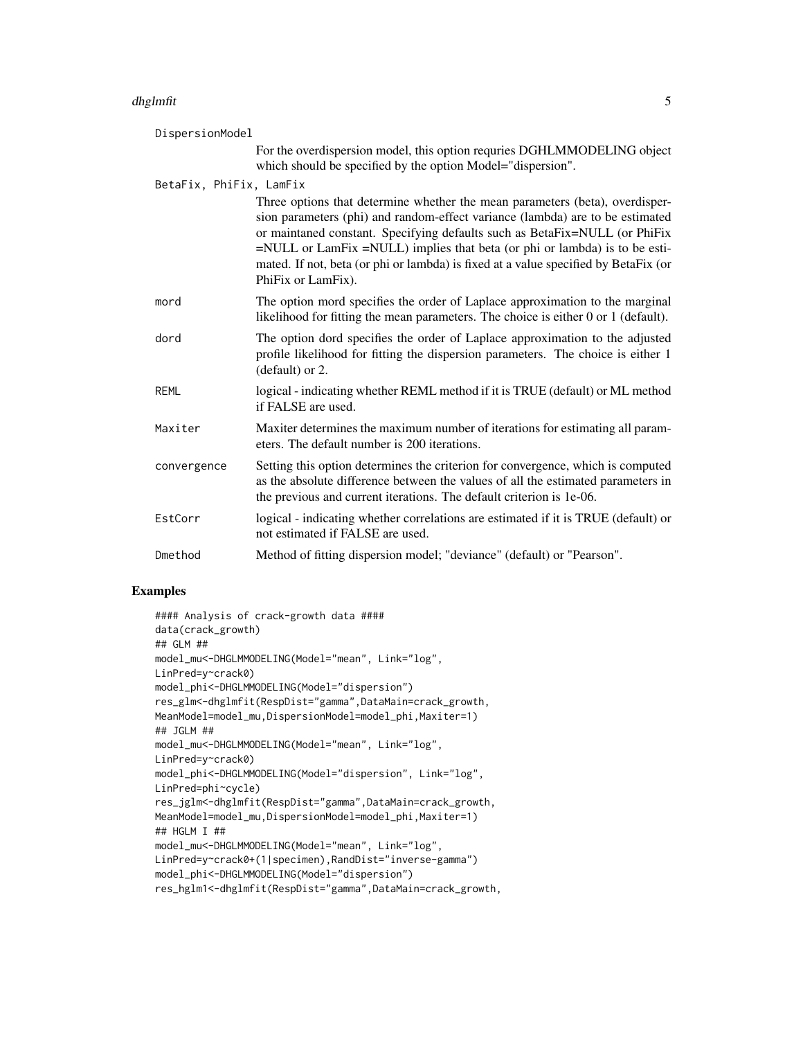#### dhglmfit 55 September 1988 September 1988 September 1988 September 1988 September 1988 September 1988 Septembe

| DispersionModel         |                                                                                                                                                                                                                                                                                                                                                                                                                                        |
|-------------------------|----------------------------------------------------------------------------------------------------------------------------------------------------------------------------------------------------------------------------------------------------------------------------------------------------------------------------------------------------------------------------------------------------------------------------------------|
|                         | For the overdispersion model, this option requries DGHLMMODELING object<br>which should be specified by the option Model="dispersion".                                                                                                                                                                                                                                                                                                 |
| BetaFix, PhiFix, LamFix |                                                                                                                                                                                                                                                                                                                                                                                                                                        |
|                         | Three options that determine whether the mean parameters (beta), overdisper-<br>sion parameters (phi) and random-effect variance (lambda) are to be estimated<br>or maintaned constant. Specifying defaults such as BetaFix=NULL (or PhiFix<br>=NULL or LamFix =NULL) implies that beta (or phi or lambda) is to be esti-<br>mated. If not, beta (or phi or lambda) is fixed at a value specified by BetaFix (or<br>PhiFix or LamFix). |
| mord                    | The option mord specifies the order of Laplace approximation to the marginal<br>likelihood for fitting the mean parameters. The choice is either 0 or 1 (default).                                                                                                                                                                                                                                                                     |
| dord                    | The option dord specifies the order of Laplace approximation to the adjusted<br>profile likelihood for fitting the dispersion parameters. The choice is either 1<br>(default) or 2.                                                                                                                                                                                                                                                    |
| <b>REML</b>             | logical - indicating whether REML method if it is TRUE (default) or ML method<br>if FALSE are used.                                                                                                                                                                                                                                                                                                                                    |
| Maxiter                 | Maxiter determines the maximum number of iterations for estimating all param-<br>eters. The default number is 200 iterations.                                                                                                                                                                                                                                                                                                          |
| convergence             | Setting this option determines the criterion for convergence, which is computed<br>as the absolute difference between the values of all the estimated parameters in<br>the previous and current iterations. The default criterion is 1e-06.                                                                                                                                                                                            |
| EstCorr                 | logical - indicating whether correlations are estimated if it is TRUE (default) or<br>not estimated if FALSE are used.                                                                                                                                                                                                                                                                                                                 |
| Dmethod                 | Method of fitting dispersion model; "deviance" (default) or "Pearson".                                                                                                                                                                                                                                                                                                                                                                 |

## Examples

```
#### Analysis of crack-growth data ####
data(crack_growth)
## GLM ##
model_mu<-DHGLMMODELING(Model="mean", Link="log",
LinPred=y~crack0)
model_phi<-DHGLMMODELING(Model="dispersion")
res_glm<-dhglmfit(RespDist="gamma",DataMain=crack_growth,
MeanModel=model_mu,DispersionModel=model_phi,Maxiter=1)
## JGLM ##
model_mu<-DHGLMMODELING(Model="mean", Link="log",
LinPred=y~crack0)
model_phi<-DHGLMMODELING(Model="dispersion", Link="log",
LinPred=phi~cycle)
res_jglm<-dhglmfit(RespDist="gamma",DataMain=crack_growth,
MeanModel=model_mu,DispersionModel=model_phi,Maxiter=1)
## HGLM I ##
model_mu<-DHGLMMODELING(Model="mean", Link="log",
LinPred=y~crack0+(1|specimen),RandDist="inverse-gamma")
model_phi<-DHGLMMODELING(Model="dispersion")
res_hglm1<-dhglmfit(RespDist="gamma",DataMain=crack_growth,
```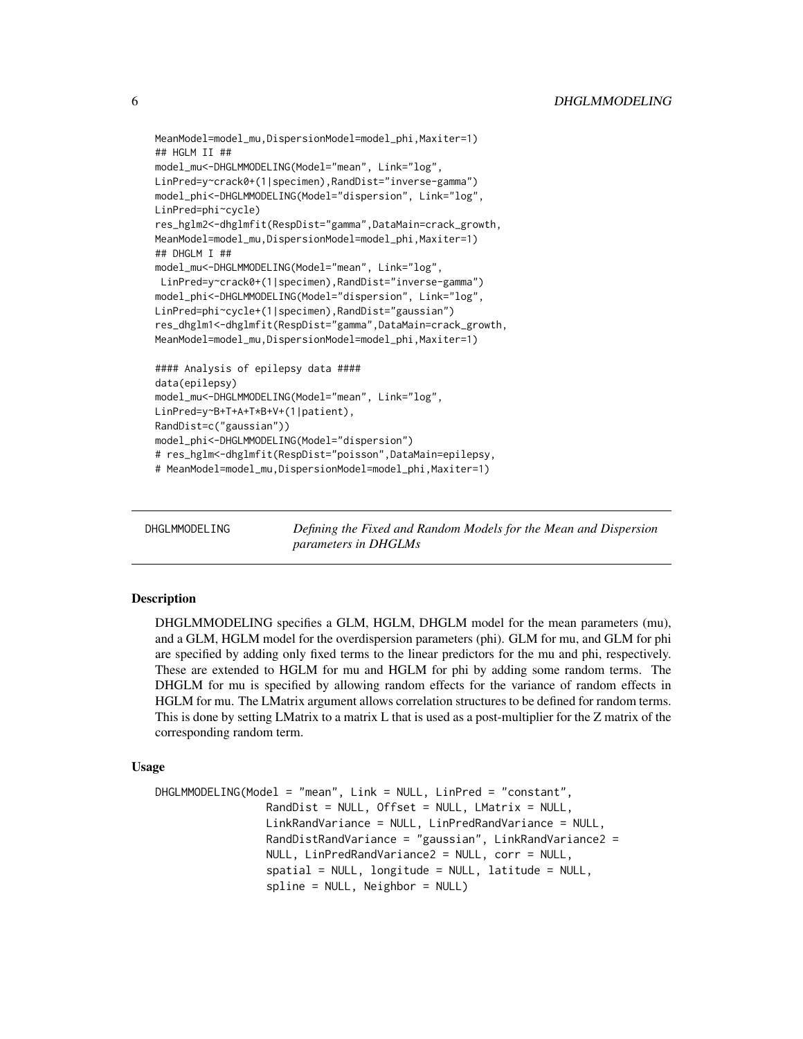```
MeanModel=model_mu,DispersionModel=model_phi,Maxiter=1)
## HGLM II ##
model_mu<-DHGLMMODELING(Model="mean", Link="log",
LinPred=y~crack0+(1|specimen),RandDist="inverse-gamma")
model_phi<-DHGLMMODELING(Model="dispersion", Link="log",
LinPred=phi~cycle)
res_hglm2<-dhglmfit(RespDist="gamma",DataMain=crack_growth,
MeanModel=model_mu,DispersionModel=model_phi,Maxiter=1)
## DHGLM I ##
model_mu<-DHGLMMODELING(Model="mean", Link="log",
LinPred=y~crack0+(1|specimen),RandDist="inverse-gamma")
model_phi<-DHGLMMODELING(Model="dispersion", Link="log",
LinPred=phi~cycle+(1|specimen),RandDist="gaussian")
res_dhglm1<-dhglmfit(RespDist="gamma",DataMain=crack_growth,
MeanModel=model_mu,DispersionModel=model_phi,Maxiter=1)
#### Analysis of epilepsy data ####
data(epilepsy)
model_mu<-DHGLMMODELING(Model="mean", Link="log",
LinPred=y~B+T+A+T*B+V+(1|patient),
RandDist=c("gaussian"))
model_phi<-DHGLMMODELING(Model="dispersion")
# res_hglm<-dhglmfit(RespDist="poisson",DataMain=epilepsy,
# MeanModel=model_mu,DispersionModel=model_phi,Maxiter=1)
```
DHGLMMODELING *Defining the Fixed and Random Models for the Mean and Dispersion parameters in DHGLMs*

#### **Description**

DHGLMMODELING specifies a GLM, HGLM, DHGLM model for the mean parameters (mu), and a GLM, HGLM model for the overdispersion parameters (phi). GLM for mu, and GLM for phi are specified by adding only fixed terms to the linear predictors for the mu and phi, respectively. These are extended to HGLM for mu and HGLM for phi by adding some random terms. The DHGLM for mu is specified by allowing random effects for the variance of random effects in HGLM for mu. The LMatrix argument allows correlation structures to be defined for random terms. This is done by setting LMatrix to a matrix L that is used as a post-multiplier for the Z matrix of the corresponding random term.

#### Usage

```
DHGLMMODELING(Model = "mean", Link = NULL, LinPred = "constant",
                 RandDist = NULL, Offset = NULL, LMatrix = NULL,
                 LinkRandVariance = NULL, LinPredRandVariance = NULL,
                 RandDistRandVariance = "gaussian", LinkRandVariance2 =
                 NULL, LinPredRandVariance2 = NULL, corr = NULL,
                 spatial = NULL, longitude = NULL, latitude = NULL,
                 spline = NULL, Neighbor = NULL)
```
<span id="page-5-0"></span>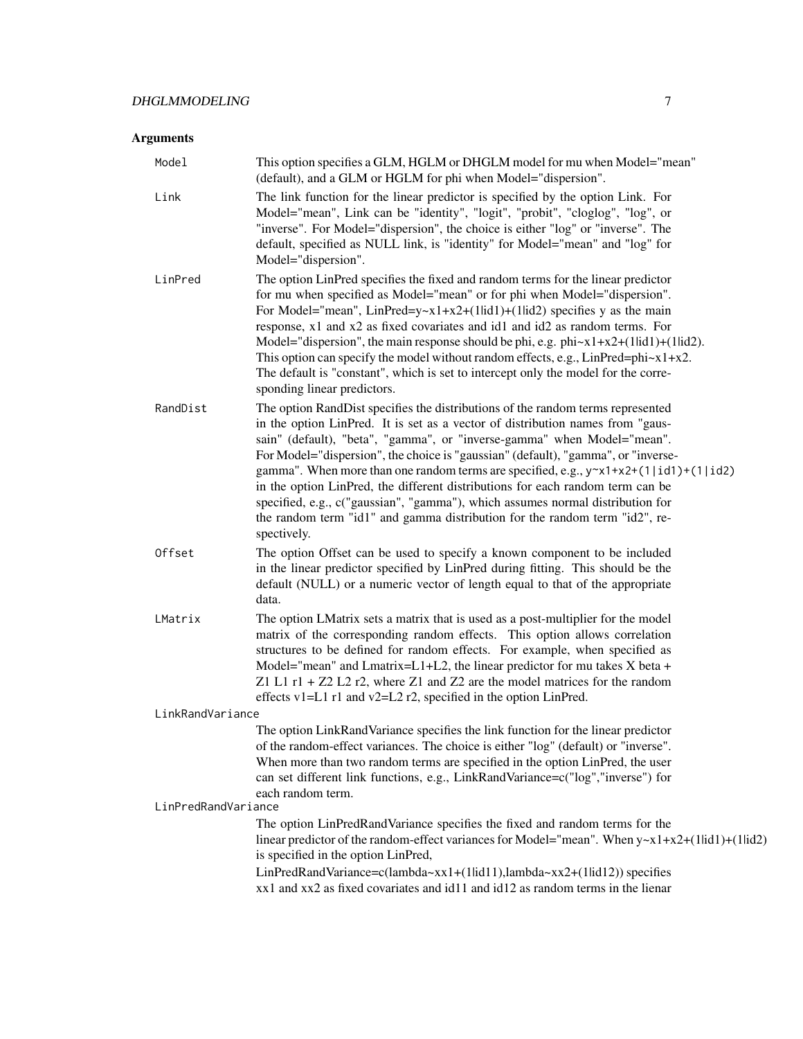# Arguments

| Model               | This option specifies a GLM, HGLM or DHGLM model for mu when Model="mean"<br>(default), and a GLM or HGLM for phi when Model="dispersion".                                                                                                                                                                                                                                                                                                                                                                                                                                                                                                                                                                         |
|---------------------|--------------------------------------------------------------------------------------------------------------------------------------------------------------------------------------------------------------------------------------------------------------------------------------------------------------------------------------------------------------------------------------------------------------------------------------------------------------------------------------------------------------------------------------------------------------------------------------------------------------------------------------------------------------------------------------------------------------------|
| Link                | The link function for the linear predictor is specified by the option Link. For<br>Model="mean", Link can be "identity", "logit", "probit", "cloglog", "log", or<br>"inverse". For Model="dispersion", the choice is either "log" or "inverse". The<br>default, specified as NULL link, is "identity" for Model="mean" and "log" for<br>Model="dispersion".                                                                                                                                                                                                                                                                                                                                                        |
| LinPred             | The option LinPred specifies the fixed and random terms for the linear predictor<br>for mu when specified as Model="mean" or for phi when Model="dispersion".<br>For Model="mean", LinPred=y~x1+x2+(1lid1)+(1lid2) specifies y as the main<br>response, x1 and x2 as fixed covariates and id1 and id2 as random terms. For<br>Model="dispersion", the main response should be phi, e.g. $phi \sim x1 + x2 + (1lid1) + (1lid2)$ .<br>This option can specify the model without random effects, e.g., $LinPred=phi \times 1+x2$ .<br>The default is "constant", which is set to intercept only the model for the corre-<br>sponding linear predictors.                                                               |
| RandDist            | The option RandDist specifies the distributions of the random terms represented<br>in the option LinPred. It is set as a vector of distribution names from "gaus-<br>sain" (default), "beta", "gamma", or "inverse-gamma" when Model="mean".<br>For Model="dispersion", the choice is "gaussian" (default), "gamma", or "inverse-<br>gamma". When more than one random terms are specified, e.g., $y \sim x1 + x2 + (1 \mid id1) + (1 \mid id2)$<br>in the option LinPred, the different distributions for each random term can be<br>specified, e.g., c("gaussian", "gamma"), which assumes normal distribution for<br>the random term "id1" and gamma distribution for the random term "id2", re-<br>spectively. |
| Offset              | The option Offset can be used to specify a known component to be included<br>in the linear predictor specified by LinPred during fitting. This should be the<br>default (NULL) or a numeric vector of length equal to that of the appropriate<br>data.                                                                                                                                                                                                                                                                                                                                                                                                                                                             |
| LMatrix             | The option LMatrix sets a matrix that is used as a post-multiplier for the model<br>matrix of the corresponding random effects. This option allows correlation<br>structures to be defined for random effects. For example, when specified as<br>Model="mean" and Lmatrix=L1+L2, the linear predictor for mu takes X beta +<br>Z1 L1 $r1 + Z2$ L2 $r2$ , where Z1 and Z2 are the model matrices for the random<br>effects v1=L1 r1 and v2=L2 r2, specified in the option LinPred.                                                                                                                                                                                                                                  |
| LinkRandVariance    |                                                                                                                                                                                                                                                                                                                                                                                                                                                                                                                                                                                                                                                                                                                    |
|                     | The option LinkRandVariance specifies the link function for the linear predictor<br>of the random-effect variances. The choice is either "log" (default) or "inverse".<br>When more than two random terms are specified in the option LinPred, the user<br>can set different link functions, e.g., LinkRandVariance=c("log","inverse") for<br>each random term.                                                                                                                                                                                                                                                                                                                                                    |
| LinPredRandVariance | The option LinPredRandVariance specifies the fixed and random terms for the<br>linear predictor of the random-effect variances for Model="mean". When $y \sim x1 + x2 + (1$ lid1)+(1lid2)<br>is specified in the option LinPred,                                                                                                                                                                                                                                                                                                                                                                                                                                                                                   |
|                     | LinPredRandVariance=c(lambda~xx1+(1lid11),lambda~xx2+(1lid12)) specifies<br>xx1 and xx2 as fixed covariates and id11 and id12 as random terms in the lienar                                                                                                                                                                                                                                                                                                                                                                                                                                                                                                                                                        |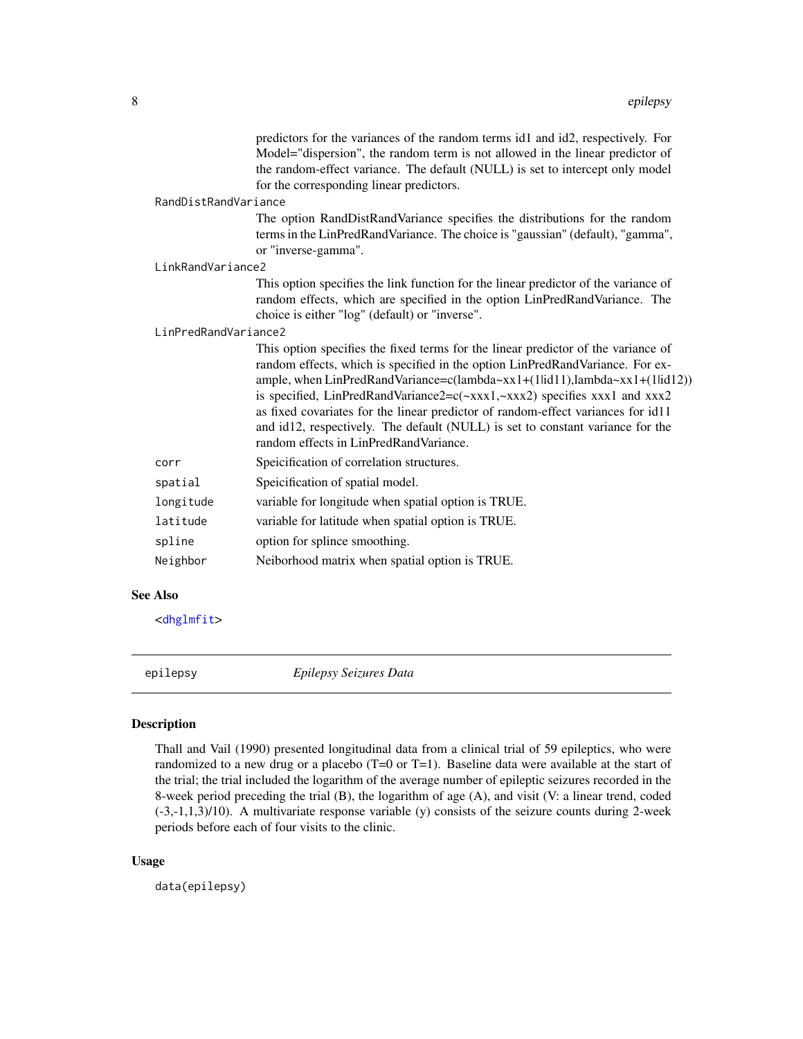<span id="page-7-0"></span>

|                      |                      | predictors for the variances of the random terms id1 and id2, respectively. For<br>Model="dispersion", the random term is not allowed in the linear predictor of<br>the random-effect variance. The default (NULL) is set to intercept only model<br>for the corresponding linear predictors.                                                                                                                                                                                                                                                 |
|----------------------|----------------------|-----------------------------------------------------------------------------------------------------------------------------------------------------------------------------------------------------------------------------------------------------------------------------------------------------------------------------------------------------------------------------------------------------------------------------------------------------------------------------------------------------------------------------------------------|
|                      | RandDistRandVariance |                                                                                                                                                                                                                                                                                                                                                                                                                                                                                                                                               |
|                      |                      | The option RandDistRandVariance specifies the distributions for the random<br>terms in the LinPredRandVariance. The choice is "gaussian" (default), "gamma",<br>or "inverse-gamma".                                                                                                                                                                                                                                                                                                                                                           |
| LinkRandVariance2    |                      |                                                                                                                                                                                                                                                                                                                                                                                                                                                                                                                                               |
|                      |                      | This option specifies the link function for the linear predictor of the variance of<br>random effects, which are specified in the option LinPredRandVariance. The<br>choice is either "log" (default) or "inverse".                                                                                                                                                                                                                                                                                                                           |
| LinPredRandVariance2 |                      |                                                                                                                                                                                                                                                                                                                                                                                                                                                                                                                                               |
|                      |                      | This option specifies the fixed terms for the linear predictor of the variance of<br>random effects, which is specified in the option LinPredRandVariance. For ex-<br>ample, when LinPredRandVariance=c(lambda~xx1+(1lid11),lambda~xx1+(1lid12))<br>is specified, LinPredRandVariance2=c(~xxx1,~xxx2) specifies xxx1 and xxx2<br>as fixed covariates for the linear predictor of random-effect variances for id11<br>and id12, respectively. The default (NULL) is set to constant variance for the<br>random effects in LinPredRandVariance. |
|                      | corr                 | Speicification of correlation structures.                                                                                                                                                                                                                                                                                                                                                                                                                                                                                                     |
|                      | spatial              | Speicification of spatial model.                                                                                                                                                                                                                                                                                                                                                                                                                                                                                                              |
|                      | longitude            | variable for longitude when spatial option is TRUE.                                                                                                                                                                                                                                                                                                                                                                                                                                                                                           |
|                      | latitude             | variable for latitude when spatial option is TRUE.                                                                                                                                                                                                                                                                                                                                                                                                                                                                                            |
|                      | spline               | option for splince smoothing.                                                                                                                                                                                                                                                                                                                                                                                                                                                                                                                 |
|                      | Neighbor             | Neiborhood matrix when spatial option is TRUE.                                                                                                                                                                                                                                                                                                                                                                                                                                                                                                |
|                      |                      |                                                                                                                                                                                                                                                                                                                                                                                                                                                                                                                                               |

#### See Also

<[dhglmfit](#page-3-1)>

epilepsy *Epilepsy Seizures Data*

## Description

Thall and Vail (1990) presented longitudinal data from a clinical trial of 59 epileptics, who were randomized to a new drug or a placebo (T=0 or T=1). Baseline data were available at the start of the trial; the trial included the logarithm of the average number of epileptic seizures recorded in the 8-week period preceding the trial (B), the logarithm of age (A), and visit (V: a linear trend, coded (-3,-1,1,3)/10). A multivariate response variable (y) consists of the seizure counts during 2-week periods before each of four visits to the clinic.

#### Usage

data(epilepsy)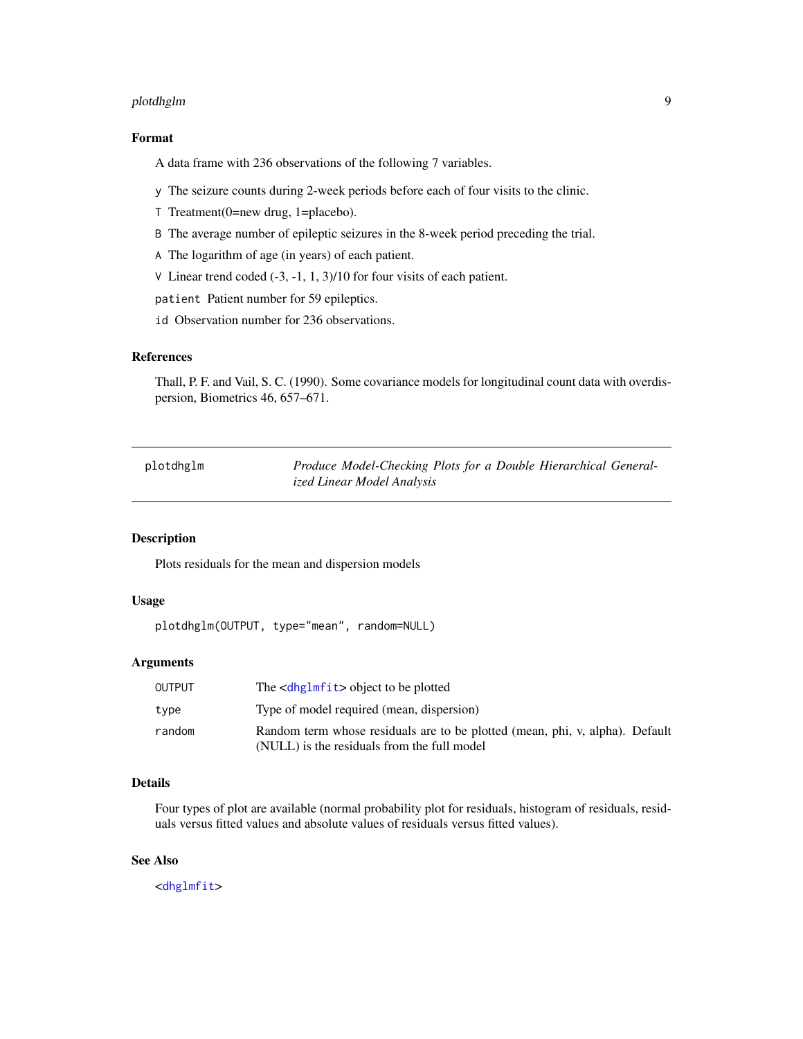## <span id="page-8-0"></span>plotdhglm 9

#### Format

A data frame with 236 observations of the following 7 variables.

- y The seizure counts during 2-week periods before each of four visits to the clinic.
- T Treatment(0=new drug, 1=placebo).
- B The average number of epileptic seizures in the 8-week period preceding the trial.
- A The logarithm of age (in years) of each patient.
- V Linear trend coded (-3, -1, 1, 3)/10 for four visits of each patient.
- patient Patient number for 59 epileptics.
- id Observation number for 236 observations.

#### References

Thall, P. F. and Vail, S. C. (1990). Some covariance models for longitudinal count data with overdispersion, Biometrics 46, 657–671.

| plotdhglm | Produce Model-Checking Plots for a Double Hierarchical General- |
|-----------|-----------------------------------------------------------------|
|           | ized Linear Model Analysis                                      |

# Description

Plots residuals for the mean and dispersion models

# Usage

```
plotdhglm(OUTPUT, type="mean", random=NULL)
```
#### Arguments

| OUTPUT | The <dhglmfit> object to be plotted</dhglmfit>                                                                              |
|--------|-----------------------------------------------------------------------------------------------------------------------------|
| type   | Type of model required (mean, dispersion)                                                                                   |
| random | Random term whose residuals are to be plotted (mean, phi, v, alpha). Default<br>(NULL) is the residuals from the full model |

#### Details

Four types of plot are available (normal probability plot for residuals, histogram of residuals, residuals versus fitted values and absolute values of residuals versus fitted values).

# See Also

<[dhglmfit](#page-3-1)>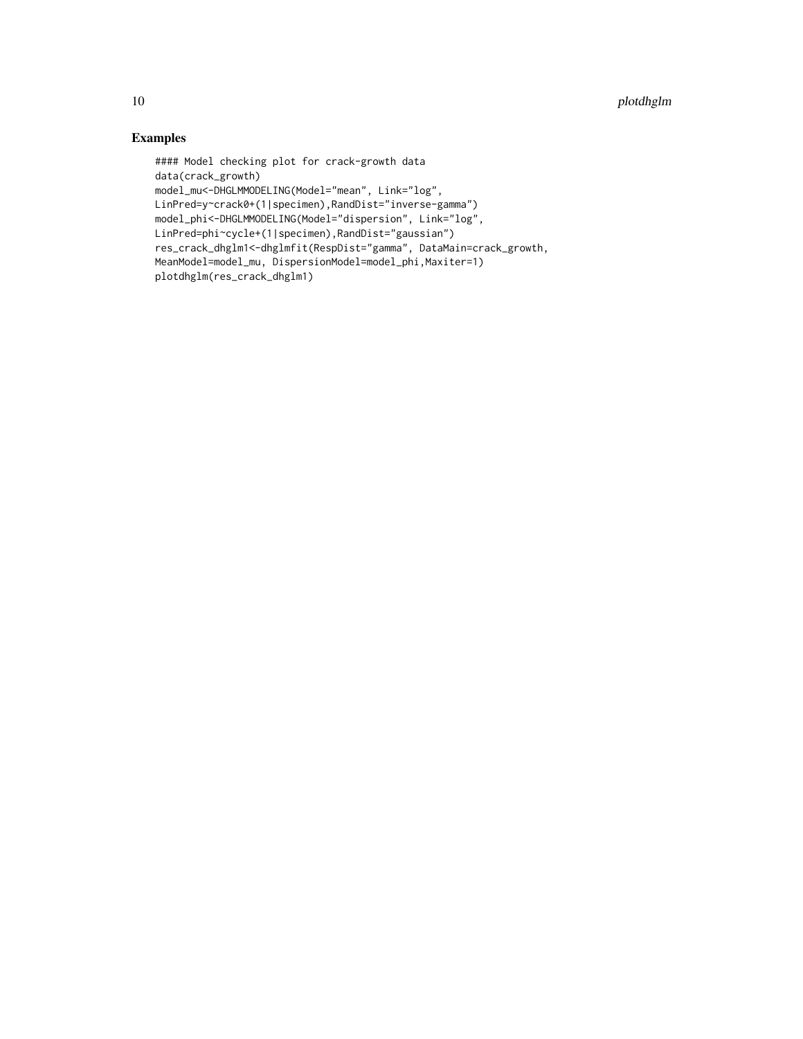# Examples

```
#### Model checking plot for crack-growth data
data(crack_growth)
model_mu<-DHGLMMODELING(Model="mean", Link="log",
LinPred=y~crack0+(1|specimen),RandDist="inverse-gamma")
model_phi<-DHGLMMODELING(Model="dispersion", Link="log",
LinPred=phi~cycle+(1|specimen),RandDist="gaussian")
res_crack_dhglm1<-dhglmfit(RespDist="gamma", DataMain=crack_growth,
MeanModel=model_mu, DispersionModel=model_phi,Maxiter=1)
plotdhglm(res_crack_dhglm1)
```